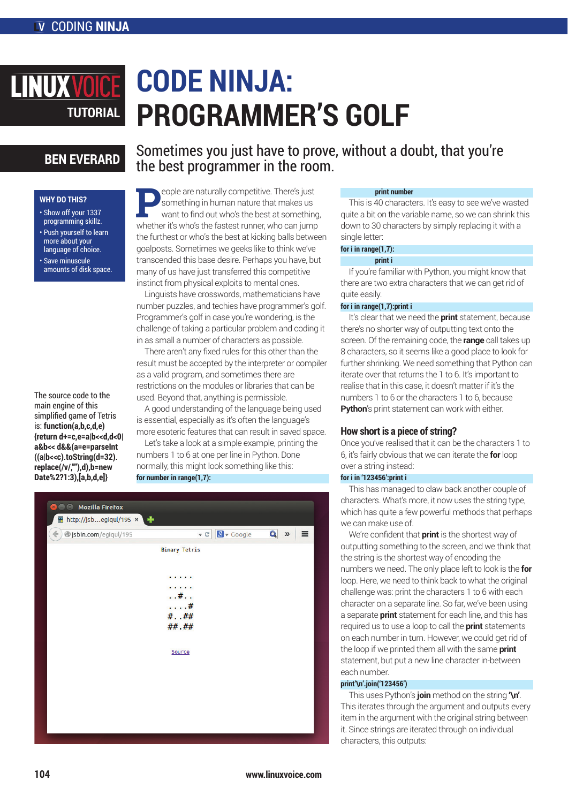# **CODE NINJA: LINUXVOIC PROGRAMMER'S GOLF TUTORIAL**

# **BEN EVERARD**

# **WHY DO THIS?**

- Show off your 1337 programming skillz. • Push yourself to learn
- more about your language of choice. • Save minuscule
- amounts of disk space.

The source code to the main engine of this simplified game of Tetris is: **function(a,b,c,d,e) {return d+=c,e=a|b<<d,d<0| a&b<< d&&(a=e=parseInt ((a|b<<c).toString(d=32). replace(/v/,""),d),b=new Date%2?1:3),[a,b,d,e]}**

Sometimes you just have to prove, without a doubt, that you're the best programmer in the room.

eople are naturally competitive. There's just something in human nature that makes us want to find out who's the best at something, whether it's who's the fastest runner, who can jump the furthest or who's the best at kicking balls between goalposts. Sometimes we geeks like to think we've transcended this base desire. Perhaps you have, but many of us have just transferred this competitive instinct from physical exploits to mental ones.

Linguists have crosswords, mathematicians have number puzzles, and techies have programmer's golf. Programmer's golf in case you're wondering, is the challenge of taking a particular problem and coding it in as small a number of characters as possible.

There aren't any fixed rules for this other than the result must be accepted by the interpreter or compiler as a valid program, and sometimes there are restrictions on the modules or libraries that can be used. Beyond that, anything is permissible.

A good understanding of the language being used is essential, especially as it's often the language's more esoteric features that can result in saved space.

Let's take a look at a simple example, printing the numbers 1 to 6 at one per line in Python. Done normally, this might look something like this: **for number in range(1,7):** 

| <b>O</b> O Mozilla Firefox             |                         |            |                                  |          |
|----------------------------------------|-------------------------|------------|----------------------------------|----------|
| <b>M</b> http://jsbegiqul/195 $\times$ |                         |            |                                  |          |
| $\leftarrow$<br>jsbin.com/egiqul/195   | $\mathbf{v} \in$        | 8 v Google | $\overline{\mathbf{Q}}$<br>$\gg$ | $\equiv$ |
|                                        | <b>Binary Tetris</b>    |            |                                  |          |
|                                        |                         |            |                                  |          |
|                                        | . .                     |            |                                  |          |
|                                        | $\cdots$                |            |                                  |          |
|                                        | $\dots$ # $\dots$<br>.# |            |                                  |          |
|                                        | ###                     |            |                                  |          |
|                                        | ##.##                   |            |                                  |          |
|                                        |                         |            |                                  |          |
|                                        | Source                  |            |                                  |          |
|                                        |                         |            |                                  |          |
|                                        |                         |            |                                  |          |
|                                        |                         |            |                                  |          |
|                                        |                         |            |                                  |          |
|                                        |                         |            |                                  |          |
|                                        |                         |            |                                  |          |
|                                        |                         |            |                                  |          |

# **print number**

This is 40 characters. It's easy to see we've wasted quite a bit on the variable name, so we can shrink this down to 30 characters by simply replacing it with a single letter:

#### **for i in range(1,7):**

#### **print i**

If you're familiar with Python, you might know that there are two extra characters that we can get rid of quite easily.

### **for i in range(1,7):print i**

It's clear that we need the **print** statement, because there's no shorter way of outputting text onto the screen. Of the remaining code, the **range** call takes up 8 characters, so it seems like a good place to look for further shrinking. We need something that Python can iterate over that returns the 1 to 6. It's important to realise that in this case, it doesn't matter if it's the numbers 1 to 6 or the characters 1 to 6, because **Python**'s print statement can work with either.

## **How short is a piece of string?**

Once you've realised that it can be the characters 1 to 6, it's fairly obvious that we can iterate the **for** loop over a string instead:

# **for i in '123456':print i**

This has managed to claw back another couple of characters. What's more, it now uses the string type, which has quite a few powerful methods that perhaps we can make use of.

We're confident that **print** is the shortest way of outputting something to the screen, and we think that the string is the shortest way of encoding the numbers we need. The only place left to look is the **for** loop. Here, we need to think back to what the original challenge was: print the characters 1 to 6 with each character on a separate line. So far, we've been using a separate **print** statement for each line, and this has required us to use a loop to call the **print** statements on each number in turn. However, we could get rid of the loop if we printed them all with the same **print** statement, but put a new line character in-between each number.

#### **print'\n'.join('123456')**

This uses Python's **join** method on the string **'\n'**. This iterates through the argument and outputs every item in the argument with the original string between it. Since strings are iterated through on individual characters, this outputs: